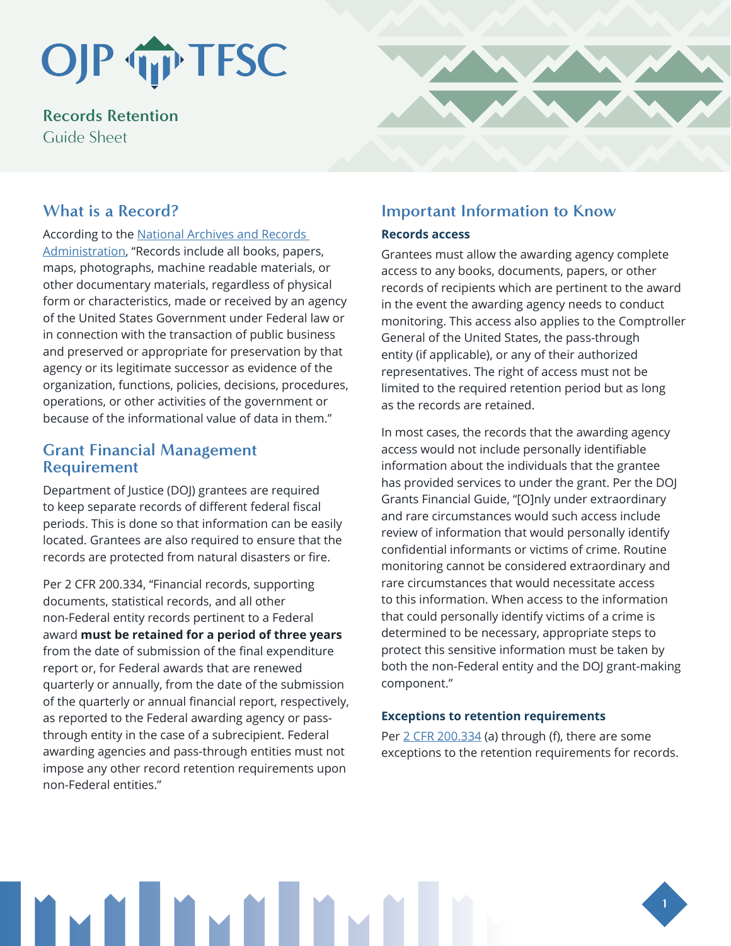# OJP TIP TFSC

**Records Retention** Guide Sheet

# **What is a Record?**

According to the [National Archives and Records](https://www.archives.gov/records-mgmt/faqs/federal.html#record)  [Administration](https://www.archives.gov/records-mgmt/faqs/federal.html#record), "Records include all books, papers, maps, photographs, machine readable materials, or other documentary materials, regardless of physical form or characteristics, made or received by an agency of the United States Government under Federal law or in connection with the transaction of public business and preserved or appropriate for preservation by that agency or its legitimate successor as evidence of the organization, functions, policies, decisions, procedures, operations, or other activities of the government or because of the informational value of data in them."

## **Grant Financial Management Requirement**

Department of Justice (DOJ) grantees are required to keep separate records of different federal fiscal periods. This is done so that information can be easily located. Grantees are also required to ensure that the records are protected from natural disasters or fire.

Per 2 CFR 200.334, "Financial records, supporting documents, statistical records, and all other non-Federal entity records pertinent to a Federal award **must be retained for a period of three years** from the date of submission of the final expenditure report or, for Federal awards that are renewed quarterly or annually, from the date of the submission of the quarterly or annual financial report, respectively, as reported to the Federal awarding agency or passthrough entity in the case of a subrecipient. Federal awarding agencies and pass-through entities must not impose any other record retention requirements upon non-Federal entities."

# **Important Information to Know**

#### **Records access**

Grantees must allow the awarding agency complete access to any books, documents, papers, or other records of recipients which are pertinent to the award in the event the awarding agency needs to conduct monitoring. This access also applies to the Comptroller General of the United States, the pass-through entity (if applicable), or any of their authorized representatives. The right of access must not be limited to the required retention period but as long as the records are retained.

In most cases, the records that the awarding agency access would not include personally identifiable information about the individuals that the grantee has provided services to under the grant. Per the DOJ Grants Financial Guide, "[O]nly under extraordinary and rare circumstances would such access include review of information that would personally identify confidential informants or victims of crime. Routine monitoring cannot be considered extraordinary and rare circumstances that would necessitate access to this information. When access to the information that could personally identify victims of a crime is determined to be necessary, appropriate steps to protect this sensitive information must be taken by both the non-Federal entity and the DOJ grant-making component."

### **Exceptions to retention requirements**

Per [2 CFR 200.334](http://2 CFR 200.334) (a) through (f), there are some exceptions to the retention requirements for records.



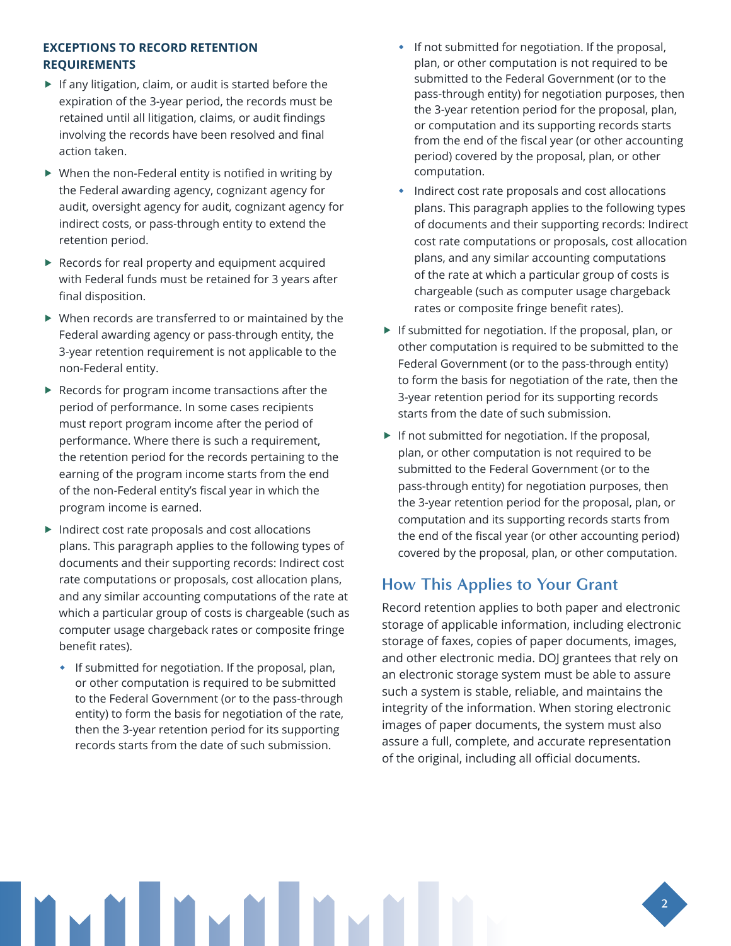#### **EXCEPTIONS TO RECORD RETENTION REQUIREMENTS**

- $\blacktriangleright$  If any litigation, claim, or audit is started before the expiration of the 3-year period, the records must be retained until all litigation, claims, or audit findings involving the records have been resolved and final action taken.
- $\triangleright$  When the non-Federal entity is notified in writing by the Federal awarding agency, cognizant agency for audit, oversight agency for audit, cognizant agency for indirect costs, or pass-through entity to extend the retention period.
- $\blacktriangleright$  Records for real property and equipment acquired with Federal funds must be retained for 3 years after final disposition.
- $\blacktriangleright$  When records are transferred to or maintained by the Federal awarding agency or pass-through entity, the 3-year retention requirement is not applicable to the non-Federal entity.
- $\blacktriangleright$  Records for program income transactions after the period of performance. In some cases recipients must report program income after the period of performance. Where there is such a requirement, the retention period for the records pertaining to the earning of the program income starts from the end of the non-Federal entity's fiscal year in which the program income is earned.
- $\blacktriangleright$  Indirect cost rate proposals and cost allocations plans. This paragraph applies to the following types of documents and their supporting records: Indirect cost rate computations or proposals, cost allocation plans, and any similar accounting computations of the rate at which a particular group of costs is chargeable (such as computer usage chargeback rates or composite fringe benefit rates).
	- **If submitted for negotiation. If the proposal, plan,** or other computation is required to be submitted to the Federal Government (or to the pass-through entity) to form the basis for negotiation of the rate, then the 3-year retention period for its supporting records starts from the date of such submission.
- **If not submitted for negotiation. If the proposal,** plan, or other computation is not required to be submitted to the Federal Government (or to the pass-through entity) for negotiation purposes, then the 3-year retention period for the proposal, plan, or computation and its supporting records starts from the end of the fiscal year (or other accounting period) covered by the proposal, plan, or other computation.
- Indirect cost rate proposals and cost allocations plans. This paragraph applies to the following types of documents and their supporting records: Indirect cost rate computations or proposals, cost allocation plans, and any similar accounting computations of the rate at which a particular group of costs is chargeable (such as computer usage chargeback rates or composite fringe benefit rates).
- $\blacktriangleright$  If submitted for negotiation. If the proposal, plan, or other computation is required to be submitted to the Federal Government (or to the pass-through entity) to form the basis for negotiation of the rate, then the 3-year retention period for its supporting records starts from the date of such submission.
- $\blacktriangleright$  If not submitted for negotiation. If the proposal, plan, or other computation is not required to be submitted to the Federal Government (or to the pass-through entity) for negotiation purposes, then the 3-year retention period for the proposal, plan, or computation and its supporting records starts from the end of the fiscal year (or other accounting period) covered by the proposal, plan, or other computation.

# **How This Applies to Your Grant**

Record retention applies to both paper and electronic storage of applicable information, including electronic storage of faxes, copies of paper documents, images, and other electronic media. DOJ grantees that rely on an electronic storage system must be able to assure such a system is stable, reliable, and maintains the integrity of the information. When storing electronic images of paper documents, the system must also assure a full, complete, and accurate representation of the original, including all official documents.